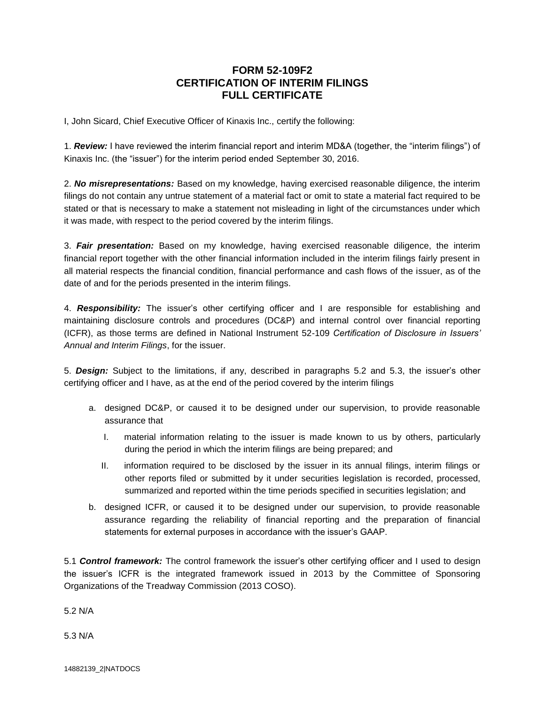## **FORM 52-109F2 CERTIFICATION OF INTERIM FILINGS FULL CERTIFICATE**

I, John Sicard, Chief Executive Officer of Kinaxis Inc., certify the following:

1. *Review:* I have reviewed the interim financial report and interim MD&A (together, the "interim filings") of Kinaxis Inc. (the "issuer") for the interim period ended September 30, 2016.

2. *No misrepresentations:* Based on my knowledge, having exercised reasonable diligence, the interim filings do not contain any untrue statement of a material fact or omit to state a material fact required to be stated or that is necessary to make a statement not misleading in light of the circumstances under which it was made, with respect to the period covered by the interim filings.

3. *Fair presentation:* Based on my knowledge, having exercised reasonable diligence, the interim financial report together with the other financial information included in the interim filings fairly present in all material respects the financial condition, financial performance and cash flows of the issuer, as of the date of and for the periods presented in the interim filings.

4. *Responsibility:* The issuer's other certifying officer and I are responsible for establishing and maintaining disclosure controls and procedures (DC&P) and internal control over financial reporting (ICFR), as those terms are defined in National Instrument 52-109 *Certification of Disclosure in Issuers' Annual and Interim Filings*, for the issuer.

5. *Design:* Subject to the limitations, if any, described in paragraphs 5.2 and 5.3, the issuer's other certifying officer and I have, as at the end of the period covered by the interim filings

- a. designed DC&P, or caused it to be designed under our supervision, to provide reasonable assurance that
	- I. material information relating to the issuer is made known to us by others, particularly during the period in which the interim filings are being prepared; and
	- II. information required to be disclosed by the issuer in its annual filings, interim filings or other reports filed or submitted by it under securities legislation is recorded, processed, summarized and reported within the time periods specified in securities legislation; and
- b. designed ICFR, or caused it to be designed under our supervision, to provide reasonable assurance regarding the reliability of financial reporting and the preparation of financial statements for external purposes in accordance with the issuer's GAAP.

5.1 *Control framework:* The control framework the issuer's other certifying officer and I used to design the issuer's ICFR is the integrated framework issued in 2013 by the Committee of Sponsoring Organizations of the Treadway Commission (2013 COSO).

5.2 N/A

5.3 N/A